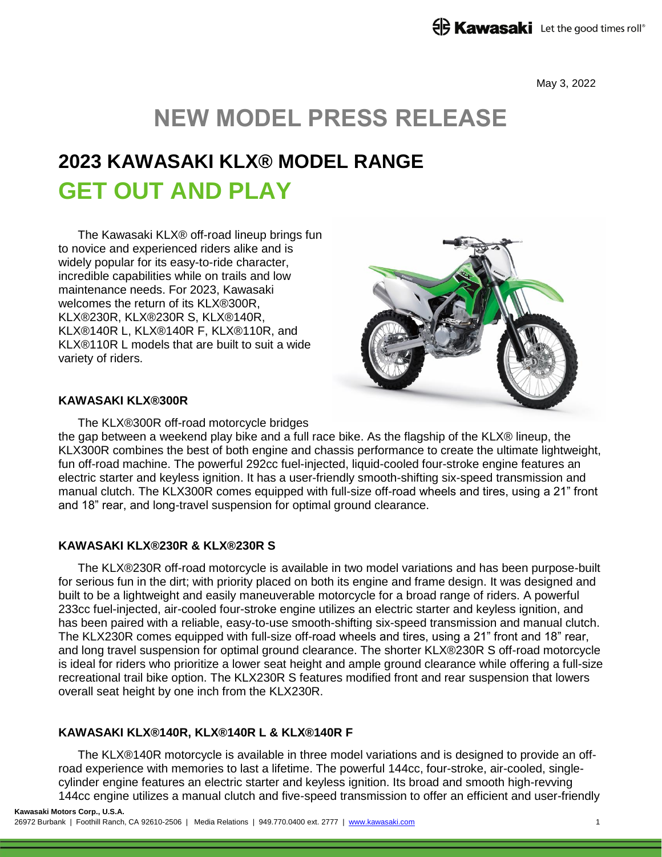May 3, 2022

# **NEW MODEL PRESS RELEASE**

# **2023 KAWASAKI KLX® MODEL RANGE GET OUT AND PLAY**

The Kawasaki KLX® off-road lineup brings fun to novice and experienced riders alike and is widely popular for its easy-to-ride character, incredible capabilities while on trails and low maintenance needs. For 2023, Kawasaki welcomes the return of its KLX®300R, KLX®230R, KLX®230R S, KLX®140R, KLX®140R L, KLX®140R F, KLX®110R, and KLX®110R L models that are built to suit a wide variety of riders.



#### **KAWASAKI KLX®300R**

The KLX®300R off-road motorcycle bridges the gap between a weekend play bike and a full race bike. As the flagship of the KLX® lineup, the KLX300R combines the best of both engine and chassis performance to create the ultimate lightweight, fun off-road machine. The powerful 292cc fuel-injected, liquid-cooled four-stroke engine features an electric starter and keyless ignition. It has a user-friendly smooth-shifting six-speed transmission and manual clutch. The KLX300R comes equipped with full-size off-road wheels and tires, using a 21" front and 18" rear, and long-travel suspension for optimal ground clearance.

## **KAWASAKI KLX®230R & KLX®230R S**

The KLX®230R off-road motorcycle is available in two model variations and has been purpose-built for serious fun in the dirt; with priority placed on both its engine and frame design. It was designed and built to be a lightweight and easily maneuverable motorcycle for a broad range of riders. A powerful 233cc fuel-injected, air-cooled four-stroke engine utilizes an electric starter and keyless ignition, and has been paired with a reliable, easy-to-use smooth-shifting six-speed transmission and manual clutch. The KLX230R comes equipped with full-size off-road wheels and tires, using a 21" front and 18" rear, and long travel suspension for optimal ground clearance. The shorter KLX®230R S off-road motorcycle is ideal for riders who prioritize a lower seat height and ample ground clearance while offering a full-size recreational trail bike option. The KLX230R S features modified front and rear suspension that lowers overall seat height by one inch from the KLX230R.

## **KAWASAKI KLX®140R, KLX®140R L & KLX®140R F**

The KLX®140R motorcycle is available in three model variations and is designed to provide an offroad experience with memories to last a lifetime. The powerful 144cc, four-stroke, air-cooled, singlecylinder engine features an electric starter and keyless ignition. Its broad and smooth high-revving 144cc engine utilizes a manual clutch and five-speed transmission to offer an efficient and user-friendly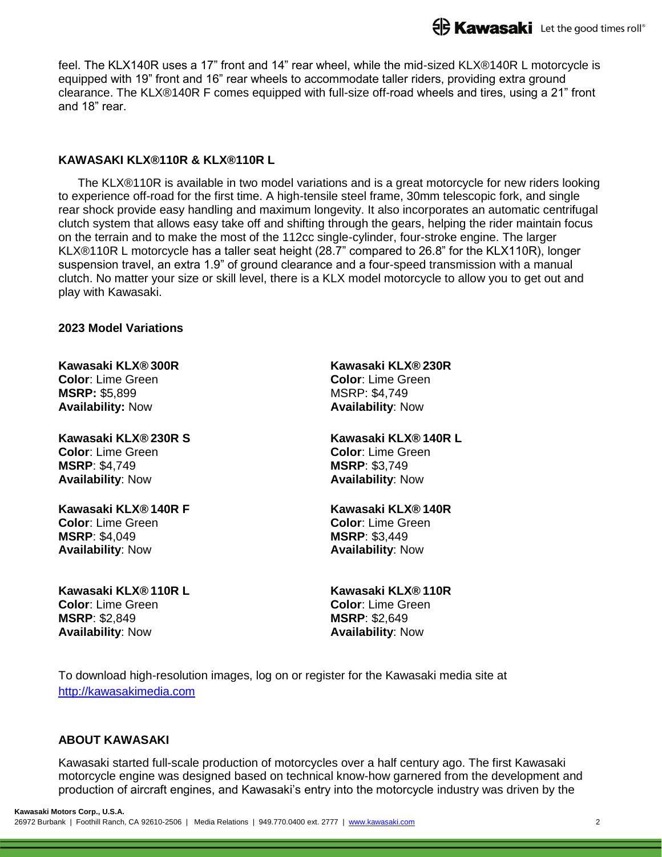feel. The KLX140R uses a 17" front and 14" rear wheel, while the mid-sized KLX®140R L motorcycle is equipped with 19" front and 16" rear wheels to accommodate taller riders, providing extra ground clearance. The KLX®140R F comes equipped with full-size off-road wheels and tires, using a 21" front and 18" rear.

## **KAWASAKI KLX®110R & KLX®110R L**

The KLX®110R is available in two model variations and is a great motorcycle for new riders looking to experience off-road for the first time. A high-tensile steel frame, 30mm telescopic fork, and single rear shock provide easy handling and maximum longevity. It also incorporates an automatic centrifugal clutch system that allows easy take off and shifting through the gears, helping the rider maintain focus on the terrain and to make the most of the 112cc single-cylinder, four-stroke engine. The larger KLX®110R L motorcycle has a taller seat height (28.7" compared to 26.8" for the KLX110R), longer suspension travel, an extra 1.9" of ground clearance and a four-speed transmission with a manual clutch. No matter your size or skill level, there is a KLX model motorcycle to allow you to get out and play with Kawasaki.

## **2023 Model Variations**

#### **Kawasaki KLX® 300R Color**: Lime Green **MSRP:** \$5,899 **Availability:** Now

### **Kawasaki KLX® 230R S Color**: Lime Green **MSRP**: \$4,749 **Availability**: Now

**Kawasaki KLX® 140R F Color**: Lime Green **MSRP**: \$4,049 **Availability**: Now

**Kawasaki KLX® 110R L Color**: Lime Green **MSRP**: \$2,849 **Availability**: Now

**Kawasaki KLX® 230R Color**: Lime Green MSRP: \$4,749 **Availability**: Now

### **Kawasaki KLX® 140R L Color**: Lime Green **MSRP**: \$3,749 **Availability**: Now

#### **Kawasaki KLX® 140R Color**: Lime Green **MSRP**: \$3,449 **Availability**: Now

#### **Kawasaki KLX® 110R Color**: Lime Green **MSRP**: \$2,649 **Availability**: Now

To download high-resolution images, log on or register for the Kawasaki media site at [http://kawasakimedia.com](http://kawasakimedia.com/)

#### **ABOUT KAWASAKI**

Kawasaki started full-scale production of motorcycles over a half century ago. The first Kawasaki motorcycle engine was designed based on technical know-how garnered from the development and production of aircraft engines, and Kawasaki's entry into the motorcycle industry was driven by the